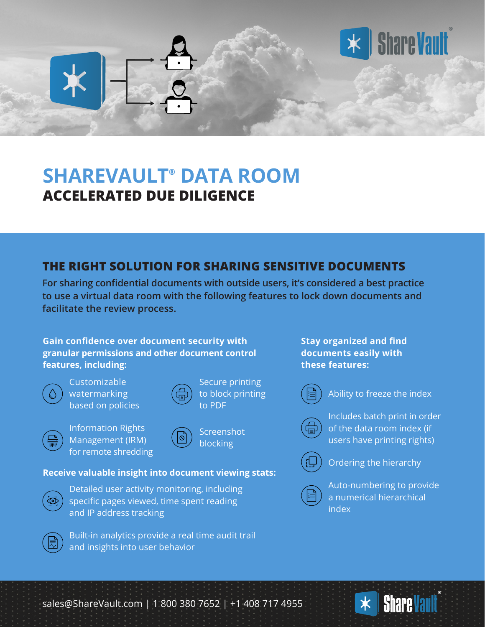## **SHAREVAULT® DATA ROOM ACCELERATED DUE DILIGENCE**

## **THE RIGHT SOLUTION FOR SHARING SENSITIVE DOCUMENTS**

**For sharing confidential documents with outside users, it's considered a best practice to use a virtual data room with the following features to lock down documents and facilitate the review process.**

> Secure printing to block printing

to PDF

**Gain confidence over document security with granular permissions and other document control features, including:**

Customizable watermarking based on policies

| ama |  |
|-----|--|

Information Rights Management (IRM) for remote shredding

|         | Screenshot |
|---------|------------|
| (  ඨු ) | blocking   |

**Receive valuable insight into document viewing stats:**



Detailed user activity monitoring, including specific pages viewed, time spent reading and IP address tracking

Built-in analytics provide a real time audit trail and insights into user behavior

**Stay organized and find documents easily with these features:**



Ability to freeze the index

**Share Vault** 

Includes batch print in order of the data room index (if users have printing rights)



3.

Ordering the hierarchy

Auto-numbering to provide a numerical hierarchical index